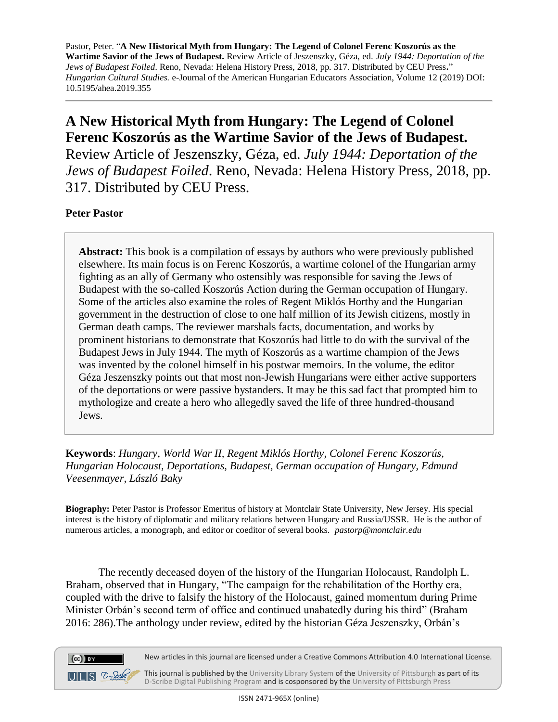## **A New Historical Myth from Hungary: The Legend of Colonel Ferenc Koszorús as the Wartime Savior of the Jews of Budapest.**

Review Article of Jeszenszky, Géza, ed. *July 1944: Deportation of the Jews of Budapest Foiled*. Reno, Nevada: Helena History Press, 2018, pp. 317. Distributed by CEU Press.

## **Peter Pastor**

 $(cc)$  BY

 $UILS$   $D-Solc$ 

**Abstract:** This book is a compilation of essays by authors who were previously published elsewhere. Its main focus is on Ferenc Koszorús, a wartime colonel of the Hungarian army fighting as an ally of Germany who ostensibly was responsible for saving the Jews of Budapest with the so-called Koszorús Action during the German occupation of Hungary. Some of the articles also examine the roles of Regent Miklós Horthy and the Hungarian government in the destruction of close to one half million of its Jewish citizens, mostly in German death camps. The reviewer marshals facts, documentation, and works by prominent historians to demonstrate that Koszorús had little to do with the survival of the Budapest Jews in July 1944. The myth of Koszorús as a wartime champion of the Jews was invented by the colonel himself in his postwar memoirs. In the volume, the editor Géza Jeszenszky points out that most non-Jewish Hungarians were either active supporters of the deportations or were passive bystanders. It may be this sad fact that prompted him to mythologize and create a hero who allegedly saved the life of three hundred-thousand Jews.

**Keywords**: *Hungary, World War II, Regent Miklós Horthy, Colonel Ferenc Koszorús, Hungarian Holocaust, Deportations, Budapest, German occupation of Hungary, Edmund Veesenmayer, László Baky*

**Biography:** Peter Pastor is Professor Emeritus of history at Montclair State University, New Jersey. His special interest is the history of diplomatic and military relations between Hungary and Russia/USSR. He is the author of numerous articles, a monograph, and editor or coeditor of several books. *pastorp@montclair.edu*

The recently deceased doyen of the history of the Hungarian Holocaust, Randolph L. Braham, observed that in Hungary, "The campaign for the rehabilitation of the Horthy era, coupled with the drive to falsify the history of the Holocaust, gained momentum during Prime Minister Orbán's second term of office and continued unabatedly during his third" (Braham 2016: 286).The anthology under review, edited by the historian Géza Jeszenszky, Orbán's



This journal is published by the University Library System of the University of Pittsburgh as part of its D-Scribe Digital Publishing Program and is cosponsored by the University of Pittsburgh Press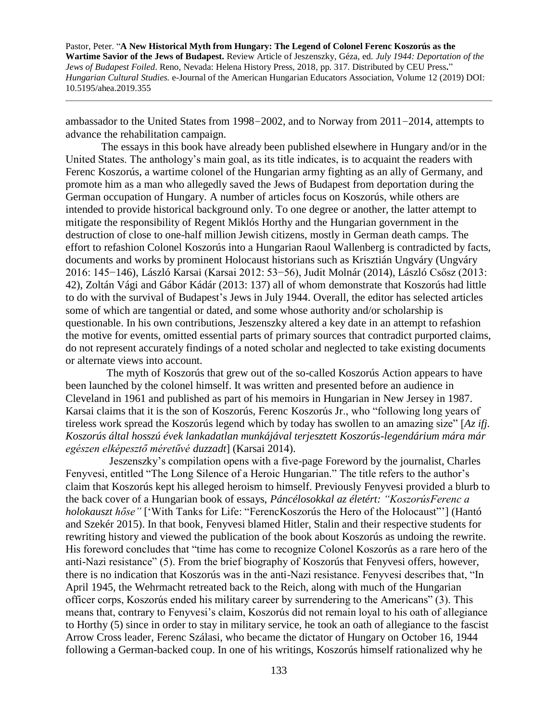ambassador to the United States from 1998−2002, and to Norway from 2011−2014, attempts to advance the rehabilitation campaign.

 The essays in this book have already been published elsewhere in Hungary and/or in the United States. The anthology's main goal, as its title indicates, is to acquaint the readers with Ferenc Koszorús, a wartime colonel of the Hungarian army fighting as an ally of Germany, and promote him as a man who allegedly saved the Jews of Budapest from deportation during the German occupation of Hungary. A number of articles focus on Koszorús, while others are intended to provide historical background only. To one degree or another, the latter attempt to mitigate the responsibility of Regent Miklós Horthy and the Hungarian government in the destruction of close to one-half million Jewish citizens, mostly in German death camps. The effort to refashion Colonel Koszorús into a Hungarian Raoul Wallenberg is contradicted by facts, documents and works by prominent Holocaust historians such as Krisztián Ungváry (Ungváry 2016: 145−146), László Karsai (Karsai 2012: 53−56), Judit Molnár (2014), László Csősz (2013: 42), Zoltán Vági and Gábor Kádár (2013: 137) all of whom demonstrate that Koszorús had little to do with the survival of Budapest's Jews in July 1944. Overall, the editor has selected articles some of which are tangential or dated, and some whose authority and/or scholarship is questionable. In his own contributions, Jeszenszky altered a key date in an attempt to refashion the motive for events, omitted essential parts of primary sources that contradict purported claims, do not represent accurately findings of a noted scholar and neglected to take existing documents or alternate views into account.

 The myth of Koszorús that grew out of the so-called Koszorús Action appears to have been launched by the colonel himself. It was written and presented before an audience in Cleveland in 1961 and published as part of his memoirs in Hungarian in New Jersey in 1987. Karsai claims that it is the son of Koszorús, Ferenc Koszorús Jr., who "following long years of tireless work spread the Koszorús legend which by today has swollen to an amazing size" [*Az ifj. Koszorús által hosszú évek lankadatlan munkájával terjesztett Koszorús-legendárium mára már egészen elképesztő méretűvé duzzadt*] (Karsai 2014).

 Jeszenszky's compilation opens with a five-page Foreword by the journalist, Charles Fenyvesi, entitled "The Long Silence of a Heroic Hungarian." The title refers to the author's claim that Koszorús kept his alleged heroism to himself. Previously Fenyvesi provided a blurb to the back cover of a Hungarian book of essays, *Páncélosokkal az életért: "KoszorúsFerenc a holokauszt hőse"* ['With Tanks for Life: "FerencKoszorús the Hero of the Holocaust"'] (Hantó and Szekér 2015). In that book, Fenyvesi blamed Hitler, Stalin and their respective students for rewriting history and viewed the publication of the book about Koszorús as undoing the rewrite. His foreword concludes that "time has come to recognize Colonel Koszorús as a rare hero of the anti-Nazi resistance" (5). From the brief biography of Koszorús that Fenyvesi offers, however, there is no indication that Koszorús was in the anti-Nazi resistance. Fenyvesi describes that, "In April 1945, the Wehrmacht retreated back to the Reich, along with much of the Hungarian officer corps, Koszorús ended his military career by surrendering to the Americans" (3). This means that, contrary to Fenyvesi's claim, Koszorús did not remain loyal to his oath of allegiance to Horthy (5) since in order to stay in military service, he took an oath of allegiance to the fascist Arrow Cross leader, Ferenc Szálasi, who became the dictator of Hungary on October 16, 1944 following a German-backed coup. In one of his writings, Koszorús himself rationalized why he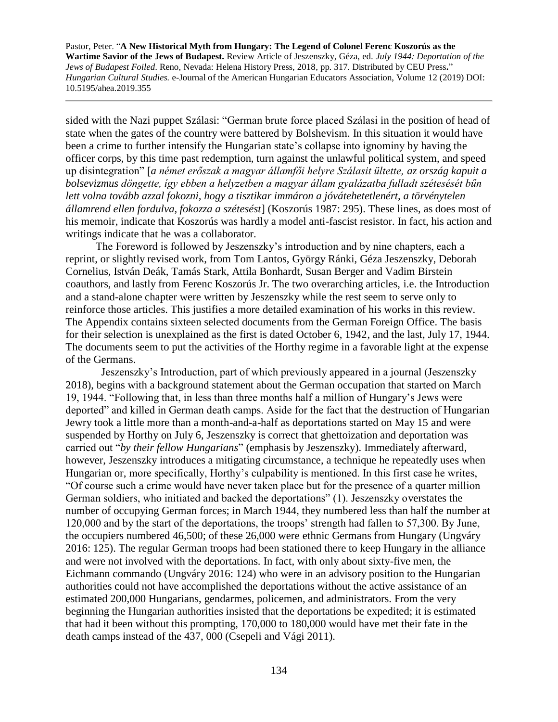sided with the Nazi puppet Szálasi: "German brute force placed Szálasi in the position of head of state when the gates of the country were battered by Bolshevism. In this situation it would have been a crime to further intensify the Hungarian state's collapse into ignominy by having the officer corps, by this time past redemption, turn against the unlawful political system, and speed up disintegration" [*a német erőszak a magyar államfői helyre Szálasit ültette, az ország kapuit a bolsevizmus döngette, így ebben a helyzetben a magyar állam gyalázatba fulladt szétesését bűn lett volna tovább azzal fokozni, hogy a tisztikar immáron a jóvátehetetlenért, a törvénytelen államrend ellen fordulva, fokozza a szétesést*] (Koszorús 1987: 295). These lines, as does most of his memoir, indicate that Koszorús was hardly a model anti-fascist resistor. In fact, his action and writings indicate that he was a collaborator.

 The Foreword is followed by Jeszenszky's introduction and by nine chapters, each a reprint, or slightly revised work, from Tom Lantos, György Ránki, Géza Jeszenszky, Deborah Cornelius, István Deák, Tamás Stark, Attila Bonhardt, Susan Berger and Vadim Birstein coauthors, and lastly from Ferenc Koszorús Jr. The two overarching articles, i.e. the Introduction and a stand-alone chapter were written by Jeszenszky while the rest seem to serve only to reinforce those articles. This justifies a more detailed examination of his works in this review. The Appendix contains sixteen selected documents from the German Foreign Office. The basis for their selection is unexplained as the first is dated October 6, 1942, and the last, July 17, 1944. The documents seem to put the activities of the Horthy regime in a favorable light at the expense of the Germans.

 Jeszenszky's Introduction, part of which previously appeared in a journal (Jeszenszky 2018), begins with a background statement about the German occupation that started on March 19, 1944. "Following that, in less than three months half a million of Hungary's Jews were deported" and killed in German death camps. Aside for the fact that the destruction of Hungarian Jewry took a little more than a month-and-a-half as deportations started on May 15 and were suspended by Horthy on July 6, Jeszenszky is correct that ghettoization and deportation was carried out "*by their fellow Hungarians*" (emphasis by Jeszenszky). Immediately afterward, however, Jeszenszky introduces a mitigating circumstance, a technique he repeatedly uses when Hungarian or, more specifically, Horthy's culpability is mentioned. In this first case he writes, "Of course such a crime would have never taken place but for the presence of a quarter million German soldiers, who initiated and backed the deportations" (1). Jeszenszky overstates the number of occupying German forces; in March 1944, they numbered less than half the number at 120,000 and by the start of the deportations, the troops' strength had fallen to 57,300. By June, the occupiers numbered 46,500; of these 26,000 were ethnic Germans from Hungary (Ungváry 2016: 125). The regular German troops had been stationed there to keep Hungary in the alliance and were not involved with the deportations. In fact, with only about sixty-five men, the Eichmann commando (Ungváry 2016: 124) who were in an advisory position to the Hungarian authorities could not have accomplished the deportations without the active assistance of an estimated 200,000 Hungarians, gendarmes, policemen, and administrators. From the very beginning the Hungarian authorities insisted that the deportations be expedited; it is estimated that had it been without this prompting, 170,000 to 180,000 would have met their fate in the death camps instead of the 437, 000 (Csepeli and Vági 2011).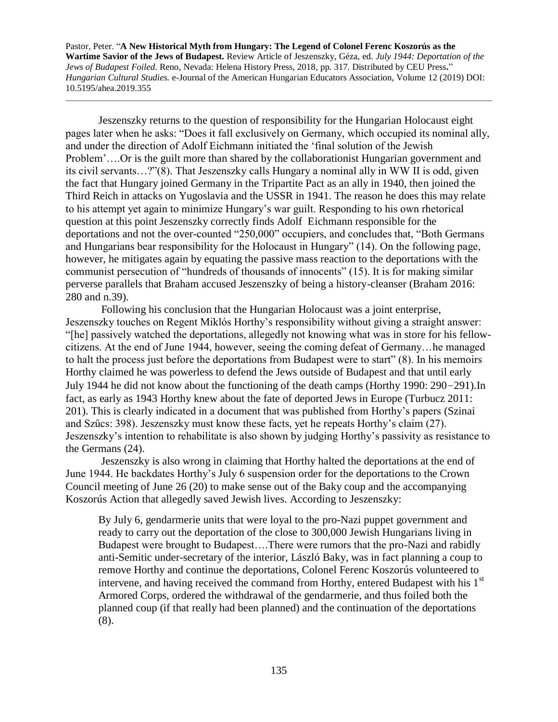Jeszenszky returns to the question of responsibility for the Hungarian Holocaust eight pages later when he asks: "Does it fall exclusively on Germany, which occupied its nominal ally, and under the direction of Adolf Eichmann initiated the 'final solution of the Jewish Problem'….Or is the guilt more than shared by the collaborationist Hungarian government and its civil servants…?"(8). That Jeszenszky calls Hungary a nominal ally in WW II is odd, given the fact that Hungary joined Germany in the Tripartite Pact as an ally in 1940, then joined the Third Reich in attacks on Yugoslavia and the USSR in 1941. The reason he does this may relate to his attempt yet again to minimize Hungary's war guilt. Responding to his own rhetorical question at this point Jeszenszky correctly finds Adolf Eichmann responsible for the deportations and not the over-counted "250,000" occupiers, and concludes that, "Both Germans and Hungarians bear responsibility for the Holocaust in Hungary" (14). On the following page, however, he mitigates again by equating the passive mass reaction to the deportations with the communist persecution of "hundreds of thousands of innocents" (15). It is for making similar perverse parallels that Braham accused Jeszenszky of being a history-cleanser (Braham 2016: 280 and n.39).

 Following his conclusion that the Hungarian Holocaust was a joint enterprise, Jeszenszky touches on Regent Miklós Horthy's responsibility without giving a straight answer: "[he] passively watched the deportations, allegedly not knowing what was in store for his fellowcitizens. At the end of June 1944, however, seeing the coming defeat of Germany…he managed to halt the process just before the deportations from Budapest were to start" (8). In his memoirs Horthy claimed he was powerless to defend the Jews outside of Budapest and that until early July 1944 he did not know about the functioning of the death camps (Horthy 1990: 290−291).In fact, as early as 1943 Horthy knew about the fate of deported Jews in Europe (Turbucz 2011: 201). This is clearly indicated in a document that was published from Horthy's papers (Szinai and Szűcs: 398). Jeszenszky must know these facts, yet he repeats Horthy's claim (27). Jeszenszky's intention to rehabilitate is also shown by judging Horthy's passivity as resistance to the Germans (24).

 Jeszenszky is also wrong in claiming that Horthy halted the deportations at the end of June 1944. He backdates Horthy's July 6 suspension order for the deportations to the Crown Council meeting of June 26 (20) to make sense out of the Baky coup and the accompanying Koszorús Action that allegedly saved Jewish lives. According to Jeszenszky:

By July 6, gendarmerie units that were loyal to the pro-Nazi puppet government and ready to carry out the deportation of the close to 300,000 Jewish Hungarians living in Budapest were brought to Budapest….There were rumors that the pro-Nazi and rabidly anti-Semitic under-secretary of the interior, László Baky, was in fact planning a coup to remove Horthy and continue the deportations, Colonel Ferenc Koszorús volunteered to intervene, and having received the command from Horthy, entered Budapest with his 1<sup>st</sup> Armored Corps, ordered the withdrawal of the gendarmerie, and thus foiled both the planned coup (if that really had been planned) and the continuation of the deportations (8).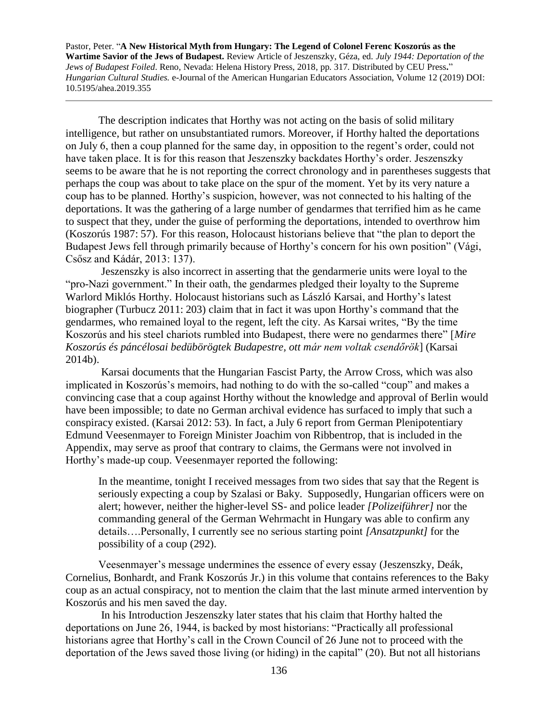The description indicates that Horthy was not acting on the basis of solid military intelligence, but rather on unsubstantiated rumors. Moreover, if Horthy halted the deportations on July 6, then a coup planned for the same day, in opposition to the regent's order, could not have taken place. It is for this reason that Jeszenszky backdates Horthy's order. Jeszenszky seems to be aware that he is not reporting the correct chronology and in parentheses suggests that perhaps the coup was about to take place on the spur of the moment. Yet by its very nature a coup has to be planned. Horthy's suspicion, however, was not connected to his halting of the deportations. It was the gathering of a large number of gendarmes that terrified him as he came to suspect that they, under the guise of performing the deportations, intended to overthrow him (Koszorús 1987: 57). For this reason, Holocaust historians believe that "the plan to deport the Budapest Jews fell through primarily because of Horthy's concern for his own position" (Vági, Csősz and Kádár, 2013: 137).

 Jeszenszky is also incorrect in asserting that the gendarmerie units were loyal to the "pro-Nazi government." In their oath, the gendarmes pledged their loyalty to the Supreme Warlord Miklós Horthy. Holocaust historians such as László Karsai, and Horthy's latest biographer (Turbucz 2011: 203) claim that in fact it was upon Horthy's command that the gendarmes, who remained loyal to the regent, left the city. As Karsai writes, "By the time Koszorús and his steel chariots rumbled into Budapest, there were no gendarmes there" [*Mire Koszorús és páncélosai bedübörögtek Budapestre, ott már nem voltak csendőrök*] (Karsai 2014b).

 Karsai documents that the Hungarian Fascist Party, the Arrow Cross, which was also implicated in Koszorús's memoirs, had nothing to do with the so-called "coup" and makes a convincing case that a coup against Horthy without the knowledge and approval of Berlin would have been impossible; to date no German archival evidence has surfaced to imply that such a conspiracy existed. (Karsai 2012: 53). In fact, a July 6 report from German Plenipotentiary Edmund Veesenmayer to Foreign Minister Joachim von Ribbentrop, that is included in the Appendix, may serve as proof that contrary to claims, the Germans were not involved in Horthy's made-up coup. Veesenmayer reported the following:

In the meantime, tonight I received messages from two sides that say that the Regent is seriously expecting a coup by Szalasi or Baky. Supposedly, Hungarian officers were on alert; however, neither the higher-level SS- and police leader *[Polizeiführer]* nor the commanding general of the German Wehrmacht in Hungary was able to confirm any details….Personally, I currently see no serious starting point *[Ansatzpunkt]* for the possibility of a coup (292).

Veesenmayer's message undermines the essence of every essay (Jeszenszky, Deák, Cornelius, Bonhardt, and Frank Koszorús Jr.) in this volume that contains references to the Baky coup as an actual conspiracy, not to mention the claim that the last minute armed intervention by Koszorús and his men saved the day.

 In his Introduction Jeszenszky later states that his claim that Horthy halted the deportations on June 26, 1944, is backed by most historians: "Practically all professional historians agree that Horthy's call in the Crown Council of 26 June not to proceed with the deportation of the Jews saved those living (or hiding) in the capital" (20). But not all historians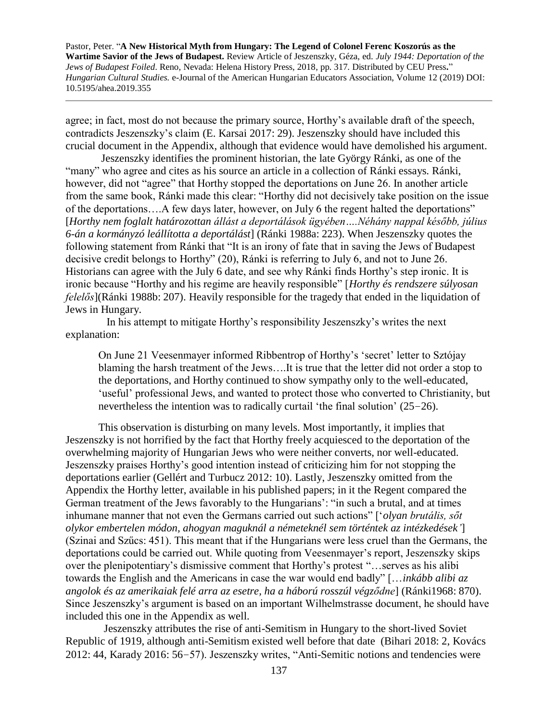agree; in fact, most do not because the primary source, Horthy's available draft of the speech, contradicts Jeszenszky's claim (E. Karsai 2017: 29). Jeszenszky should have included this crucial document in the Appendix, although that evidence would have demolished his argument.

 Jeszenszky identifies the prominent historian, the late György Ránki, as one of the "many" who agree and cites as his source an article in a collection of Ránki essays. Ránki, however, did not "agree" that Horthy stopped the deportations on June 26. In another article from the same book, Ránki made this clear: "Horthy did not decisively take position on the issue of the deportations….A few days later, however, on July 6 the regent halted the deportations" [*Horthy nem foglalt határozottan állást a deportálások ügyében….Néhány nappal később, július 6-án a kormányzó leállította a deportálást*] (Ránki 1988a: 223). When Jeszenszky quotes the following statement from Ránki that "It is an irony of fate that in saving the Jews of Budapest decisive credit belongs to Horthy" (20), Ránki is referring to July 6, and not to June 26. Historians can agree with the July 6 date, and see why Ránki finds Horthy's step ironic. It is ironic because "Horthy and his regime are heavily responsible" [*Horthy és rendszere súlyosan felelős*](Ránki 1988b: 207). Heavily responsible for the tragedy that ended in the liquidation of Jews in Hungary.

 In his attempt to mitigate Horthy's responsibility Jeszenszky's writes the next explanation:

On June 21 Veesenmayer informed Ribbentrop of Horthy's 'secret' letter to Sztójay blaming the harsh treatment of the Jews….It is true that the letter did not order a stop to the deportations, and Horthy continued to show sympathy only to the well-educated, 'useful' professional Jews, and wanted to protect those who converted to Christianity, but nevertheless the intention was to radically curtail 'the final solution' (25−26).

This observation is disturbing on many levels. Most importantly, it implies that Jeszenszky is not horrified by the fact that Horthy freely acquiesced to the deportation of the overwhelming majority of Hungarian Jews who were neither converts, nor well-educated. Jeszenszky praises Horthy's good intention instead of criticizing him for not stopping the deportations earlier (Gellért and Turbucz 2012: 10). Lastly, Jeszenszky omitted from the Appendix the Horthy letter, available in his published papers; in it the Regent compared the German treatment of the Jews favorably to the Hungarians': "in such a brutal, and at times inhumane manner that not even the Germans carried out such actions" ['*olyan brutális, sőt olykor embertelen módon, ahogyan maguknál a németeknél sem történtek az intézkedések'*] (Szinai and Szűcs: 451). This meant that if the Hungarians were less cruel than the Germans, the deportations could be carried out. While quoting from Veesenmayer's report, Jeszenszky skips over the plenipotentiary's dismissive comment that Horthy's protest "…serves as his alibi towards the English and the Americans in case the war would end badly" […*inkább alibi az angolok és az amerikaiak felé arra az esetre, ha a háború rosszúl végződne*] (Ránki1968: 870). Since Jeszenszky's argument is based on an important Wilhelmstrasse document, he should have included this one in the Appendix as well.

 Jeszenszky attributes the rise of anti-Semitism in Hungary to the short-lived Soviet Republic of 1919, although anti-Semitism existed well before that date (Bihari 2018: 2, Kovács 2012: 44, Karady 2016: 56−57). Jeszenszky writes, "Anti-Semitic notions and tendencies were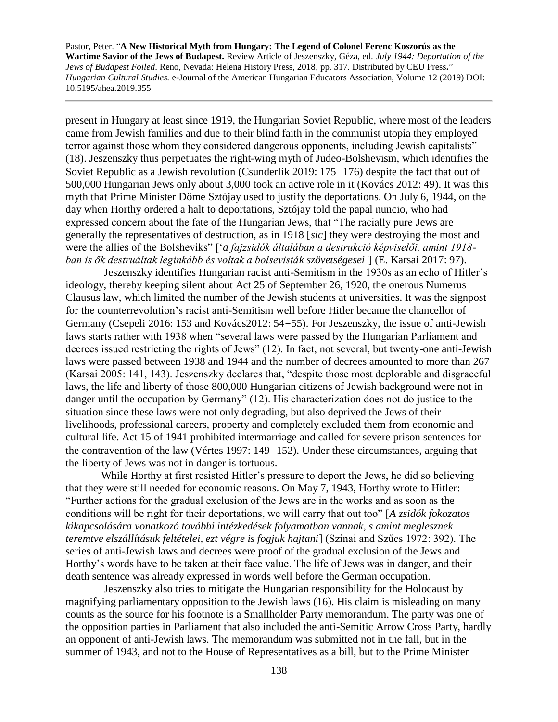present in Hungary at least since 1919, the Hungarian Soviet Republic, where most of the leaders came from Jewish families and due to their blind faith in the communist utopia they employed terror against those whom they considered dangerous opponents, including Jewish capitalists" (18). Jeszenszky thus perpetuates the right-wing myth of Judeo-Bolshevism, which identifies the Soviet Republic as a Jewish revolution (Csunderlik 2019: 175−176) despite the fact that out of 500,000 Hungarian Jews only about 3,000 took an active role in it (Kovács 2012: 49). It was this myth that Prime Minister Döme Sztójay used to justify the deportations. On July 6, 1944, on the day when Horthy ordered a halt to deportations, Sztójay told the papal nuncio, who had expressed concern about the fate of the Hungarian Jews, that "The racially pure Jews are generally the representatives of destruction, as in 1918 [*sic*] they were destroying the most and were the allies of the Bolsheviks" ['*a fajzsidók általában a destrukció képviselői, amint 1918 ban is ők destruáltak leginkább és voltak a bolsevisták szövetségesei'*] (E. Karsai 2017: 97).

 Jeszenszky identifies Hungarian racist anti-Semitism in the 1930s as an echo of Hitler's ideology, thereby keeping silent about Act 25 of September 26, 1920, the onerous Numerus Clausus law, which limited the number of the Jewish students at universities. It was the signpost for the counterrevolution's racist anti-Semitism well before Hitler became the chancellor of Germany (Csepeli 2016: 153 and Kovács2012: 54−55). For Jeszenszky, the issue of anti-Jewish laws starts rather with 1938 when "several laws were passed by the Hungarian Parliament and decrees issued restricting the rights of Jews" (12). In fact, not several, but twenty-one anti-Jewish laws were passed between 1938 and 1944 and the number of decrees amounted to more than 267 (Karsai 2005: 141, 143). Jeszenszky declares that, "despite those most deplorable and disgraceful laws, the life and liberty of those 800,000 Hungarian citizens of Jewish background were not in danger until the occupation by Germany" (12). His characterization does not do justice to the situation since these laws were not only degrading, but also deprived the Jews of their livelihoods, professional careers, property and completely excluded them from economic and cultural life. Act 15 of 1941 prohibited intermarriage and called for severe prison sentences for the contravention of the law (Vértes 1997: 149−152). Under these circumstances, arguing that the liberty of Jews was not in danger is tortuous.

 While Horthy at first resisted Hitler's pressure to deport the Jews, he did so believing that they were still needed for economic reasons. On May 7, 1943, Horthy wrote to Hitler: "Further actions for the gradual exclusion of the Jews are in the works and as soon as the conditions will be right for their deportations, we will carry that out too" [*A zsidók fokozatos kikapcsolására vonatkozó további intézkedések folyamatban vannak, s amint meglesznek teremtve elszállításuk feltételei, ezt végre is fogjuk hajtani*] (Szinai and Szűcs 1972: 392). The series of anti-Jewish laws and decrees were proof of the gradual exclusion of the Jews and Horthy's words have to be taken at their face value. The life of Jews was in danger, and their death sentence was already expressed in words well before the German occupation.

 Jeszenszky also tries to mitigate the Hungarian responsibility for the Holocaust by magnifying parliamentary opposition to the Jewish laws (16). His claim is misleading on many counts as the source for his footnote is a Smallholder Party memorandum. The party was one of the opposition parties in Parliament that also included the anti-Semitic Arrow Cross Party, hardly an opponent of anti-Jewish laws. The memorandum was submitted not in the fall, but in the summer of 1943, and not to the House of Representatives as a bill, but to the Prime Minister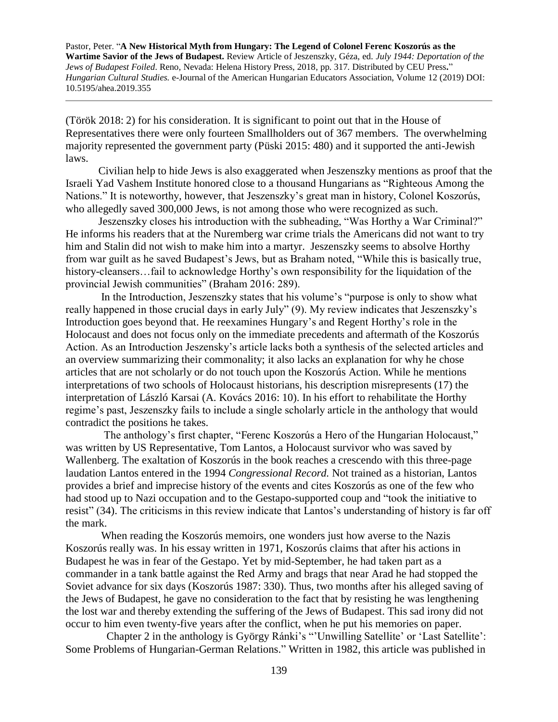(Török 2018: 2) for his consideration. It is significant to point out that in the House of Representatives there were only fourteen Smallholders out of 367 members. The overwhelming majority represented the government party (Püski 2015: 480) and it supported the anti-Jewish laws.

 Civilian help to hide Jews is also exaggerated when Jeszenszky mentions as proof that the Israeli Yad Vashem Institute honored close to a thousand Hungarians as "Righteous Among the Nations." It is noteworthy, however, that Jeszenszky's great man in history, Colonel Koszorús, who allegedly saved 300,000 Jews, is not among those who were recognized as such.

 Jeszenszky closes his introduction with the subheading, "Was Horthy a War Criminal?" He informs his readers that at the Nuremberg war crime trials the Americans did not want to try him and Stalin did not wish to make him into a martyr. Jeszenszky seems to absolve Horthy from war guilt as he saved Budapest's Jews, but as Braham noted, "While this is basically true, history-cleansers...fail to acknowledge Horthy's own responsibility for the liquidation of the provincial Jewish communities" (Braham 2016: 289).

 In the Introduction, Jeszenszky states that his volume's "purpose is only to show what really happened in those crucial days in early July" (9). My review indicates that Jeszenszky's Introduction goes beyond that. He reexamines Hungary's and Regent Horthy's role in the Holocaust and does not focus only on the immediate precedents and aftermath of the Koszorús Action. As an Introduction Jeszensky's article lacks both a synthesis of the selected articles and an overview summarizing their commonality; it also lacks an explanation for why he chose articles that are not scholarly or do not touch upon the Koszorús Action. While he mentions interpretations of two schools of Holocaust historians, his description misrepresents (17) the interpretation of László Karsai (A. Kovács 2016: 10). In his effort to rehabilitate the Horthy regime's past, Jeszenszky fails to include a single scholarly article in the anthology that would contradict the positions he takes.

 The anthology's first chapter, "Ferenc Koszorús a Hero of the Hungarian Holocaust," was written by US Representative, Tom Lantos, a Holocaust survivor who was saved by Wallenberg. The exaltation of Koszorús in the book reaches a crescendo with this three-page laudation Lantos entered in the 1994 *Congressional Record.* Not trained as a historian, Lantos provides a brief and imprecise history of the events and cites Koszorús as one of the few who had stood up to Nazi occupation and to the Gestapo-supported coup and "took the initiative to resist" (34). The criticisms in this review indicate that Lantos's understanding of history is far off the mark.

 When reading the Koszorús memoirs, one wonders just how averse to the Nazis Koszorús really was. In his essay written in 1971, Koszorús claims that after his actions in Budapest he was in fear of the Gestapo. Yet by mid-September, he had taken part as a commander in a tank battle against the Red Army and brags that near Arad he had stopped the Soviet advance for six days (Koszorús 1987: 330). Thus, two months after his alleged saving of the Jews of Budapest, he gave no consideration to the fact that by resisting he was lengthening the lost war and thereby extending the suffering of the Jews of Budapest. This sad irony did not occur to him even twenty-five years after the conflict, when he put his memories on paper.

Chapter 2 in the anthology is György Ránki's "'Unwilling Satellite' or 'Last Satellite': Some Problems of Hungarian-German Relations." Written in 1982, this article was published in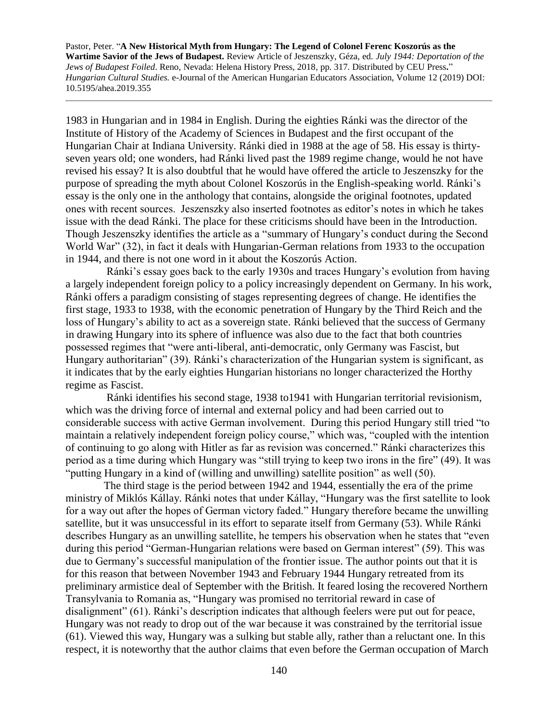1983 in Hungarian and in 1984 in English. During the eighties Ránki was the director of the Institute of History of the Academy of Sciences in Budapest and the first occupant of the Hungarian Chair at Indiana University. Ránki died in 1988 at the age of 58. His essay is thirtyseven years old; one wonders, had Ránki lived past the 1989 regime change, would he not have revised his essay? It is also doubtful that he would have offered the article to Jeszenszky for the purpose of spreading the myth about Colonel Koszorús in the English-speaking world. Ránki's essay is the only one in the anthology that contains, alongside the original footnotes, updated ones with recent sources. Jeszenszky also inserted footnotes as editor's notes in which he takes issue with the dead Ránki. The place for these criticisms should have been in the Introduction. Though Jeszenszky identifies the article as a "summary of Hungary's conduct during the Second World War" (32), in fact it deals with Hungarian-German relations from 1933 to the occupation in 1944, and there is not one word in it about the Koszorús Action.

 Ránki's essay goes back to the early 1930s and traces Hungary's evolution from having a largely independent foreign policy to a policy increasingly dependent on Germany. In his work, Ránki offers a paradigm consisting of stages representing degrees of change. He identifies the first stage, 1933 to 1938, with the economic penetration of Hungary by the Third Reich and the loss of Hungary's ability to act as a sovereign state. Ránki believed that the success of Germany in drawing Hungary into its sphere of influence was also due to the fact that both countries possessed regimes that "were anti-liberal, anti-democratic, only Germany was Fascist, but Hungary authoritarian" (39). Ránki's characterization of the Hungarian system is significant, as it indicates that by the early eighties Hungarian historians no longer characterized the Horthy regime as Fascist.

 Ránki identifies his second stage, 1938 to1941 with Hungarian territorial revisionism, which was the driving force of internal and external policy and had been carried out to considerable success with active German involvement. During this period Hungary still tried "to maintain a relatively independent foreign policy course," which was, "coupled with the intention of continuing to go along with Hitler as far as revision was concerned." Ránki characterizes this period as a time during which Hungary was "still trying to keep two irons in the fire" (49). It was "putting Hungary in a kind of (willing and unwilling) satellite position" as well (50).

 The third stage is the period between 1942 and 1944, essentially the era of the prime ministry of Miklós Kállay. Ránki notes that under Kállay, "Hungary was the first satellite to look for a way out after the hopes of German victory faded." Hungary therefore became the unwilling satellite, but it was unsuccessful in its effort to separate itself from Germany (53). While Ránki describes Hungary as an unwilling satellite, he tempers his observation when he states that "even during this period "German-Hungarian relations were based on German interest" (59). This was due to Germany's successful manipulation of the frontier issue. The author points out that it is for this reason that between November 1943 and February 1944 Hungary retreated from its preliminary armistice deal of September with the British. It feared losing the recovered Northern Transylvania to Romania as, "Hungary was promised no territorial reward in case of disalignment" (61). Ránki's description indicates that although feelers were put out for peace, Hungary was not ready to drop out of the war because it was constrained by the territorial issue (61). Viewed this way, Hungary was a sulking but stable ally, rather than a reluctant one. In this respect, it is noteworthy that the author claims that even before the German occupation of March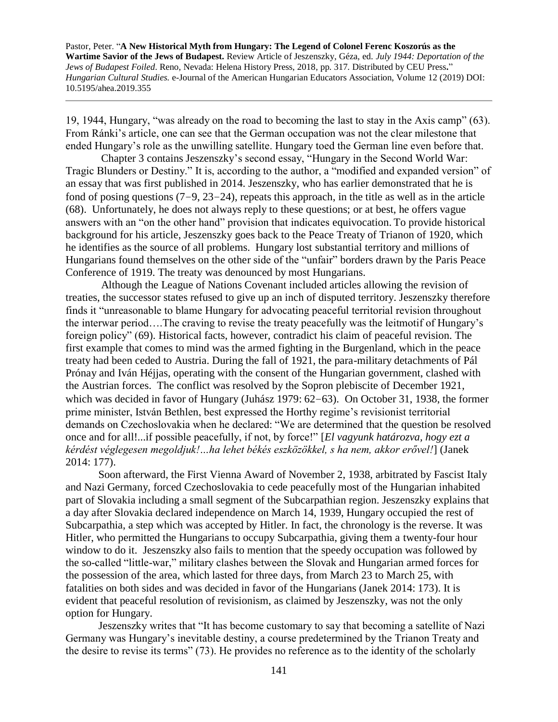19, 1944, Hungary, "was already on the road to becoming the last to stay in the Axis camp" (63). From Ránki's article, one can see that the German occupation was not the clear milestone that ended Hungary's role as the unwilling satellite. Hungary toed the German line even before that.

 Chapter 3 contains Jeszenszky's second essay, "Hungary in the Second World War: Tragic Blunders or Destiny." It is, according to the author, a "modified and expanded version" of an essay that was first published in 2014. Jeszenszky, who has earlier demonstrated that he is fond of posing questions (7−9, 23−24), repeats this approach, in the title as well as in the article (68). Unfortunately, he does not always reply to these questions; or at best, he offers vague answers with an "on the other hand" provision that indicates equivocation. To provide historical background for his article, Jeszenszky goes back to the Peace Treaty of Trianon of 1920, which he identifies as the source of all problems. Hungary lost substantial territory and millions of Hungarians found themselves on the other side of the "unfair" borders drawn by the Paris Peace Conference of 1919. The treaty was denounced by most Hungarians.

 Although the League of Nations Covenant included articles allowing the revision of treaties, the successor states refused to give up an inch of disputed territory. Jeszenszky therefore finds it "unreasonable to blame Hungary for advocating peaceful territorial revision throughout the interwar period….The craving to revise the treaty peacefully was the leitmotif of Hungary's foreign policy" (69). Historical facts, however, contradict his claim of peaceful revision. The first example that comes to mind was the armed fighting in the Burgenland, which in the peace treaty had been ceded to Austria. During the fall of 1921, the para-military detachments of Pál Prónay and Iván Héjjas, operating with the consent of the Hungarian government, clashed with the Austrian forces. The conflict was resolved by the Sopron plebiscite of December 1921, which was decided in favor of Hungary (Juhász 1979: 62−63). On October 31, 1938, the former prime minister, István Bethlen, best expressed the Horthy regime's revisionist territorial demands on Czechoslovakia when he declared: "We are determined that the question be resolved once and for all!...if possible peacefully, if not, by force!" [*El vagyunk határozva, hogy ezt a kérdést véglegesen megoldjuk!…ha lehet békés eszközökkel, s ha nem, akkor erővel!*] (Janek 2014: 177).

 Soon afterward, the First Vienna Award of November 2, 1938, arbitrated by Fascist Italy and Nazi Germany, forced Czechoslovakia to cede peacefully most of the Hungarian inhabited part of Slovakia including a small segment of the Subcarpathian region. Jeszenszky explains that a day after Slovakia declared independence on March 14, 1939, Hungary occupied the rest of Subcarpathia, a step which was accepted by Hitler. In fact, the chronology is the reverse. It was Hitler, who permitted the Hungarians to occupy Subcarpathia, giving them a twenty-four hour window to do it. Jeszenszky also fails to mention that the speedy occupation was followed by the so-called "little-war," military clashes between the Slovak and Hungarian armed forces for the possession of the area, which lasted for three days, from March 23 to March 25, with fatalities on both sides and was decided in favor of the Hungarians (Janek 2014: 173). It is evident that peaceful resolution of revisionism, as claimed by Jeszenszky, was not the only option for Hungary.

 Jeszenszky writes that "It has become customary to say that becoming a satellite of Nazi Germany was Hungary's inevitable destiny, a course predetermined by the Trianon Treaty and the desire to revise its terms" (73). He provides no reference as to the identity of the scholarly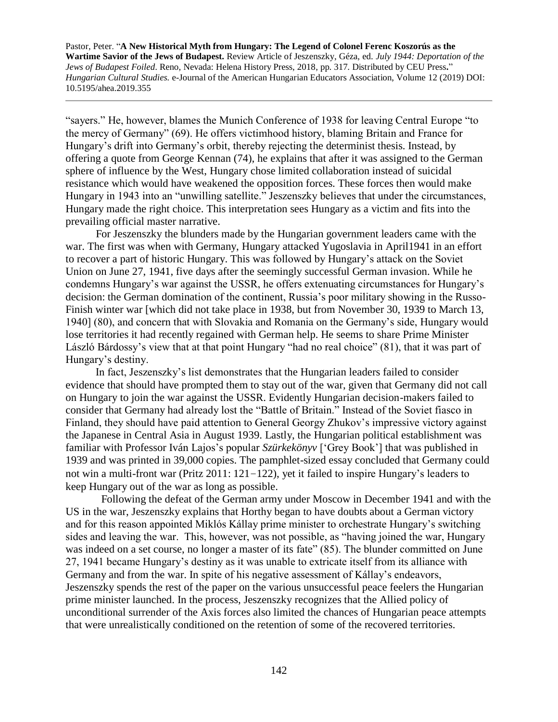"sayers." He, however, blames the Munich Conference of 1938 for leaving Central Europe "to the mercy of Germany" (69). He offers victimhood history, blaming Britain and France for Hungary's drift into Germany's orbit, thereby rejecting the determinist thesis. Instead, by offering a quote from George Kennan (74), he explains that after it was assigned to the German sphere of influence by the West, Hungary chose limited collaboration instead of suicidal resistance which would have weakened the opposition forces. These forces then would make Hungary in 1943 into an "unwilling satellite." Jeszenszky believes that under the circumstances, Hungary made the right choice. This interpretation sees Hungary as a victim and fits into the prevailing official master narrative.

 For Jeszenszky the blunders made by the Hungarian government leaders came with the war. The first was when with Germany, Hungary attacked Yugoslavia in April1941 in an effort to recover a part of historic Hungary. This was followed by Hungary's attack on the Soviet Union on June 27, 1941, five days after the seemingly successful German invasion. While he condemns Hungary's war against the USSR, he offers extenuating circumstances for Hungary's decision: the German domination of the continent, Russia's poor military showing in the Russo-Finish winter war [which did not take place in 1938, but from November 30, 1939 to March 13, 1940] (80), and concern that with Slovakia and Romania on the Germany's side, Hungary would lose territories it had recently regained with German help. He seems to share Prime Minister László Bárdossy's view that at that point Hungary "had no real choice" (81), that it was part of Hungary's destiny.

 In fact, Jeszenszky's list demonstrates that the Hungarian leaders failed to consider evidence that should have prompted them to stay out of the war, given that Germany did not call on Hungary to join the war against the USSR. Evidently Hungarian decision-makers failed to consider that Germany had already lost the "Battle of Britain." Instead of the Soviet fiasco in Finland, they should have paid attention to General Georgy Zhukov's impressive victory against the Japanese in Central Asia in August 1939. Lastly, the Hungarian political establishment was familiar with Professor Iván Lajos's popular *Szürkekönyv* ['Grey Book'] that was published in 1939 and was printed in 39,000 copies. The pamphlet-sized essay concluded that Germany could not win a multi-front war (Pritz 2011: 121−122), yet it failed to inspire Hungary's leaders to keep Hungary out of the war as long as possible.

 Following the defeat of the German army under Moscow in December 1941 and with the US in the war, Jeszenszky explains that Horthy began to have doubts about a German victory and for this reason appointed Miklós Kállay prime minister to orchestrate Hungary's switching sides and leaving the war. This, however, was not possible, as "having joined the war, Hungary was indeed on a set course, no longer a master of its fate" (85). The blunder committed on June 27, 1941 became Hungary's destiny as it was unable to extricate itself from its alliance with Germany and from the war. In spite of his negative assessment of Kállay's endeavors, Jeszenszky spends the rest of the paper on the various unsuccessful peace feelers the Hungarian prime minister launched. In the process, Jeszenszky recognizes that the Allied policy of unconditional surrender of the Axis forces also limited the chances of Hungarian peace attempts that were unrealistically conditioned on the retention of some of the recovered territories.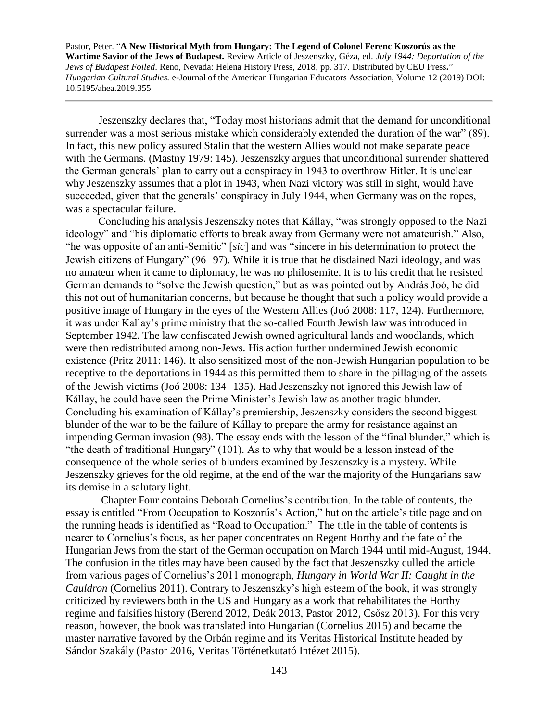Jeszenszky declares that, "Today most historians admit that the demand for unconditional surrender was a most serious mistake which considerably extended the duration of the war" (89). In fact, this new policy assured Stalin that the western Allies would not make separate peace with the Germans. (Mastny 1979: 145). Jeszenszky argues that unconditional surrender shattered the German generals' plan to carry out a conspiracy in 1943 to overthrow Hitler. It is unclear why Jeszenszky assumes that a plot in 1943, when Nazi victory was still in sight, would have succeeded, given that the generals' conspiracy in July 1944, when Germany was on the ropes, was a spectacular failure.

 Concluding his analysis Jeszenszky notes that Kállay, "was strongly opposed to the Nazi ideology" and "his diplomatic efforts to break away from Germany were not amateurish." Also, "he was opposite of an anti-Semitic" [*sic*] and was "sincere in his determination to protect the Jewish citizens of Hungary" (96−97). While it is true that he disdained Nazi ideology, and was no amateur when it came to diplomacy, he was no philosemite. It is to his credit that he resisted German demands to "solve the Jewish question," but as was pointed out by András Joó, he did this not out of humanitarian concerns, but because he thought that such a policy would provide a positive image of Hungary in the eyes of the Western Allies (Joó 2008: 117, 124). Furthermore, it was under Kallay's prime ministry that the so-called Fourth Jewish law was introduced in September 1942. The law confiscated Jewish owned agricultural lands and woodlands, which were then redistributed among non-Jews. His action further undermined Jewish economic existence (Pritz 2011: 146). It also sensitized most of the non-Jewish Hungarian population to be receptive to the deportations in 1944 as this permitted them to share in the pillaging of the assets of the Jewish victims (Joó 2008: 134−135). Had Jeszenszky not ignored this Jewish law of Kállay, he could have seen the Prime Minister's Jewish law as another tragic blunder. Concluding his examination of Kállay's premiership, Jeszenszky considers the second biggest blunder of the war to be the failure of Kállay to prepare the army for resistance against an impending German invasion (98). The essay ends with the lesson of the "final blunder," which is "the death of traditional Hungary" (101). As to why that would be a lesson instead of the consequence of the whole series of blunders examined by Jeszenszky is a mystery. While Jeszenszky grieves for the old regime, at the end of the war the majority of the Hungarians saw its demise in a salutary light.

 Chapter Four contains Deborah Cornelius's contribution. In the table of contents, the essay is entitled "From Occupation to Koszorús's Action," but on the article's title page and on the running heads is identified as "Road to Occupation." The title in the table of contents is nearer to Cornelius's focus, as her paper concentrates on Regent Horthy and the fate of the Hungarian Jews from the start of the German occupation on March 1944 until mid-August, 1944. The confusion in the titles may have been caused by the fact that Jeszenszky culled the article from various pages of Cornelius's 2011 monograph, *Hungary in World War II: Caught in the Cauldron* (Cornelius 2011). Contrary to Jeszenszky's high esteem of the book, it was strongly criticized by reviewers both in the US and Hungary as a work that rehabilitates the Horthy regime and falsifies history (Berend 2012, Deák 2013, Pastor 2012, Csősz 2013). For this very reason, however, the book was translated into Hungarian (Cornelius 2015) and became the master narrative favored by the Orbán regime and its Veritas Historical Institute headed by Sándor Szakály (Pastor 2016, Veritas Történetkutató Intézet 2015).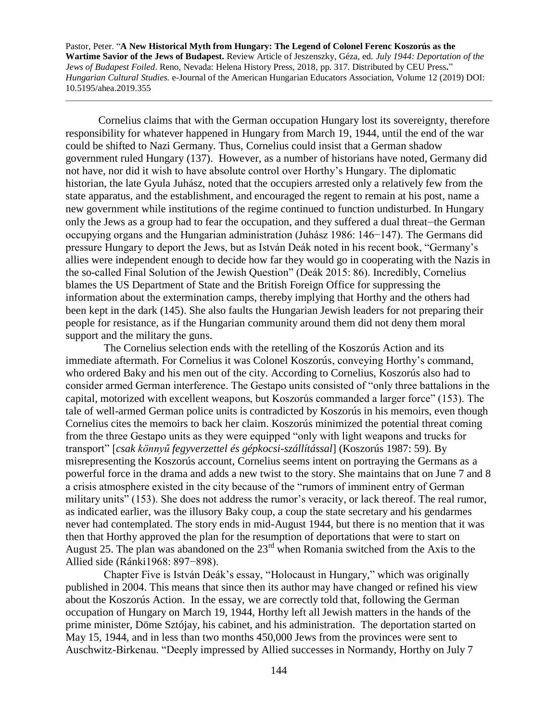Cornelius claims that with the German occupation Hungary lost its sovereignty, therefore responsibility for whatever happened in Hungary from March 19, 1944, until the end of the war could be shifted to Nazi Germany. Thus, Cornelius could insist that a German shadow government ruled Hungary (137). However, as a number of historians have noted, Germany did not have, nor did it wish to have absolute control over Horthy's Hungary. The diplomatic historian, the late Gyula Juhász, noted that the occupiers arrested only a relatively few from the state apparatus, and the establishment, and encouraged the regent to remain at his post, name a new government while institutions of the regime continued to function undisturbed. In Hungary only the Jews as a group had to fear the occupation, and they suffered a dual threat—the German occupying organs and the Hungarian administration (Juhász 1986: 146−147). The Germans did pressure Hungary to deport the Jews, but as István Deák noted in his recent book, "Germany's allies were independent enough to decide how far they would go in cooperating with the Nazis in the so-called Final Solution of the Jewish Question" (Deák 2015: 86). Incredibly, Cornelius blames the US Department of State and the British Foreign Office for suppressing the information about the extermination camps, thereby implying that Horthy and the others had been kept in the dark (145). She also faults the Hungarian Jewish leaders for not preparing their people for resistance, as if the Hungarian community around them did not deny them moral support and the military the guns.

 The Cornelius selection ends with the retelling of the Koszorús Action and its immediate aftermath. For Cornelius it was Colonel Koszorús, conveying Horthy's command, who ordered Baky and his men out of the city. According to Cornelius, Koszorús also had to consider armed German interference. The Gestapo units consisted of "only three battalions in the capital, motorized with excellent weapons, but Koszorús commanded a larger force" (153). The tale of well-armed German police units is contradicted by Koszorús in his memoirs, even though Cornelius cites the memoirs to back her claim. Koszorús minimized the potential threat coming from the three Gestapo units as they were equipped "only with light weapons and trucks for transport" [*csak könnyű fegyverzettel és gépkocsi-szállítással*] (Koszorús 1987: 59). By misrepresenting the Koszorús account, Cornelius seems intent on portraying the Germans as a powerful force in the drama and adds a new twist to the story. She maintains that on June 7 and 8 a crisis atmosphere existed in the city because of the "rumors of imminent entry of German military units" (153). She does not address the rumor's veracity, or lack thereof. The real rumor, as indicated earlier, was the illusory Baky coup, a coup the state secretary and his gendarmes never had contemplated. The story ends in mid-August 1944, but there is no mention that it was then that Horthy approved the plan for the resumption of deportations that were to start on August 25. The plan was abandoned on the  $23<sup>rd</sup>$  when Romania switched from the Axis to the Allied side (Ránki1968: 897−898).

 Chapter Five is István Deák's essay, "Holocaust in Hungary," which was originally published in 2004. This means that since then its author may have changed or refined his view about the Koszorús Action. In the essay, we are correctly told that, following the German occupation of Hungary on March 19, 1944, Horthy left all Jewish matters in the hands of the prime minister, Döme Sztójay, his cabinet, and his administration. The deportation started on May 15, 1944, and in less than two months 450,000 Jews from the provinces were sent to Auschwitz-Birkenau. "Deeply impressed by Allied successes in Normandy, Horthy on July 7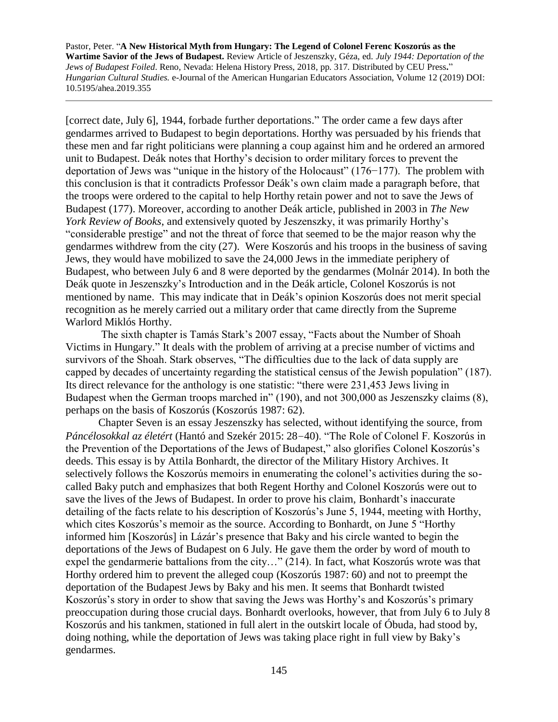[correct date, July 6], 1944, forbade further deportations." The order came a few days after gendarmes arrived to Budapest to begin deportations. Horthy was persuaded by his friends that these men and far right politicians were planning a coup against him and he ordered an armored unit to Budapest. Deák notes that Horthy's decision to order military forces to prevent the deportation of Jews was "unique in the history of the Holocaust" (176−177). The problem with this conclusion is that it contradicts Professor Deák's own claim made a paragraph before, that the troops were ordered to the capital to help Horthy retain power and not to save the Jews of Budapest (177). Moreover, according to another Deák article, published in 2003 in *The New York Review of Books*, and extensively quoted by Jeszenszky, it was primarily Horthy's "considerable prestige" and not the threat of force that seemed to be the major reason why the gendarmes withdrew from the city (27). Were Koszorús and his troops in the business of saving Jews, they would have mobilized to save the 24,000 Jews in the immediate periphery of Budapest, who between July 6 and 8 were deported by the gendarmes (Molnár 2014). In both the Deák quote in Jeszenszky's Introduction and in the Deák article, Colonel Koszorús is not mentioned by name. This may indicate that in Deák's opinion Koszorús does not merit special recognition as he merely carried out a military order that came directly from the Supreme Warlord Miklós Horthy.

 The sixth chapter is Tamás Stark's 2007 essay, "Facts about the Number of Shoah Victims in Hungary." It deals with the problem of arriving at a precise number of victims and survivors of the Shoah. Stark observes, "The difficulties due to the lack of data supply are capped by decades of uncertainty regarding the statistical census of the Jewish population" (187). Its direct relevance for the anthology is one statistic: "there were 231,453 Jews living in Budapest when the German troops marched in" (190), and not 300,000 as Jeszenszky claims (8), perhaps on the basis of Koszorús (Koszorús 1987: 62).

 Chapter Seven is an essay Jeszenszky has selected, without identifying the source, from *Páncélosokkal az életért* (Hantó and Szekér 2015: 28−40). "The Role of Colonel F. Koszorús in the Prevention of the Deportations of the Jews of Budapest," also glorifies Colonel Koszorús's deeds. This essay is by Attila Bonhardt, the director of the Military History Archives. It selectively follows the Koszorús memoirs in enumerating the colonel's activities during the socalled Baky putch and emphasizes that both Regent Horthy and Colonel Koszorús were out to save the lives of the Jews of Budapest. In order to prove his claim, Bonhardt's inaccurate detailing of the facts relate to his description of Koszorús's June 5, 1944, meeting with Horthy, which cites Koszorús's memoir as the source. According to Bonhardt, on June 5 "Horthy informed him [Koszorús] in Lázár's presence that Baky and his circle wanted to begin the deportations of the Jews of Budapest on 6 July. He gave them the order by word of mouth to expel the gendarmerie battalions from the city…" (214). In fact, what Koszorús wrote was that Horthy ordered him to prevent the alleged coup (Koszorús 1987: 60) and not to preempt the deportation of the Budapest Jews by Baky and his men. It seems that Bonhardt twisted Koszorús's story in order to show that saving the Jews was Horthy's and Koszorús's primary preoccupation during those crucial days. Bonhardt overlooks, however, that from July 6 to July 8 Koszorús and his tankmen, stationed in full alert in the outskirt locale of Óbuda, had stood by, doing nothing, while the deportation of Jews was taking place right in full view by Baky's gendarmes.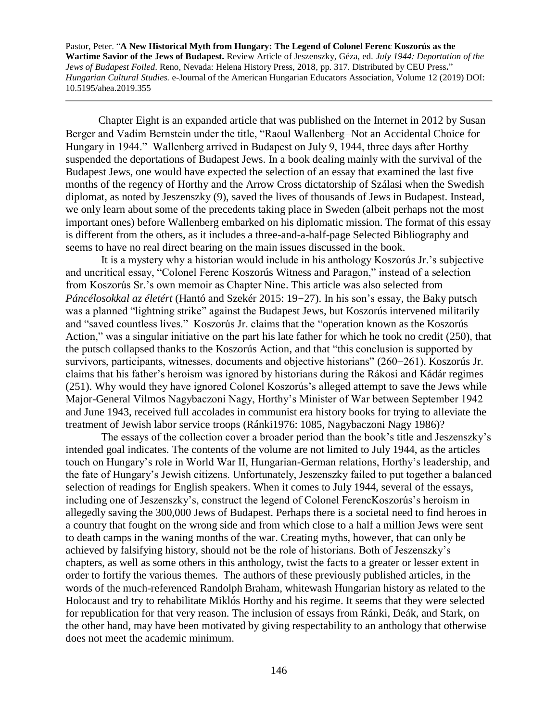Chapter Eight is an expanded article that was published on the Internet in 2012 by Susan Berger and Vadim Bernstein under the title, "Raoul Wallenberg—Not an Accidental Choice for Hungary in 1944." Wallenberg arrived in Budapest on July 9, 1944, three days after Horthy suspended the deportations of Budapest Jews. In a book dealing mainly with the survival of the Budapest Jews, one would have expected the selection of an essay that examined the last five months of the regency of Horthy and the Arrow Cross dictatorship of Szálasi when the Swedish diplomat, as noted by Jeszenszky (9), saved the lives of thousands of Jews in Budapest. Instead, we only learn about some of the precedents taking place in Sweden (albeit perhaps not the most important ones) before Wallenberg embarked on his diplomatic mission. The format of this essay is different from the others, as it includes a three-and-a-half-page Selected Bibliography and seems to have no real direct bearing on the main issues discussed in the book.

 It is a mystery why a historian would include in his anthology Koszorús Jr.'s subjective and uncritical essay, "Colonel Ferenc Koszorús Witness and Paragon," instead of a selection from Koszorús Sr.'s own memoir as Chapter Nine. This article was also selected from *Páncélosokkal az életért* (Hantó and Szekér 2015: 19−27). In his son's essay, the Baky putsch was a planned "lightning strike" against the Budapest Jews, but Koszorús intervened militarily and "saved countless lives." Koszorús Jr. claims that the "operation known as the Koszorús Action," was a singular initiative on the part his late father for which he took no credit (250), that the putsch collapsed thanks to the Koszorús Action, and that "this conclusion is supported by survivors, participants, witnesses, documents and objective historians" (260−261). Koszorús Jr. claims that his father's heroism was ignored by historians during the Rákosi and Kádár regimes (251). Why would they have ignored Colonel Koszorús's alleged attempt to save the Jews while Major-General Vilmos Nagybaczoni Nagy, Horthy's Minister of War between September 1942 and June 1943, received full accolades in communist era history books for trying to alleviate the treatment of Jewish labor service troops (Ránki1976: 1085, Nagybaczoni Nagy 1986)?

 The essays of the collection cover a broader period than the book's title and Jeszenszky's intended goal indicates. The contents of the volume are not limited to July 1944, as the articles touch on Hungary's role in World War II, Hungarian-German relations, Horthy's leadership, and the fate of Hungary's Jewish citizens. Unfortunately, Jeszenszky failed to put together a balanced selection of readings for English speakers. When it comes to July 1944, several of the essays, including one of Jeszenszky's, construct the legend of Colonel FerencKoszorús's heroism in allegedly saving the 300,000 Jews of Budapest. Perhaps there is a societal need to find heroes in a country that fought on the wrong side and from which close to a half a million Jews were sent to death camps in the waning months of the war. Creating myths, however, that can only be achieved by falsifying history, should not be the role of historians. Both of Jeszenszky's chapters, as well as some others in this anthology, twist the facts to a greater or lesser extent in order to fortify the various themes. The authors of these previously published articles, in the words of the much-referenced Randolph Braham, whitewash Hungarian history as related to the Holocaust and try to rehabilitate Miklós Horthy and his regime. It seems that they were selected for republication for that very reason. The inclusion of essays from Ránki, Deák, and Stark, on the other hand, may have been motivated by giving respectability to an anthology that otherwise does not meet the academic minimum.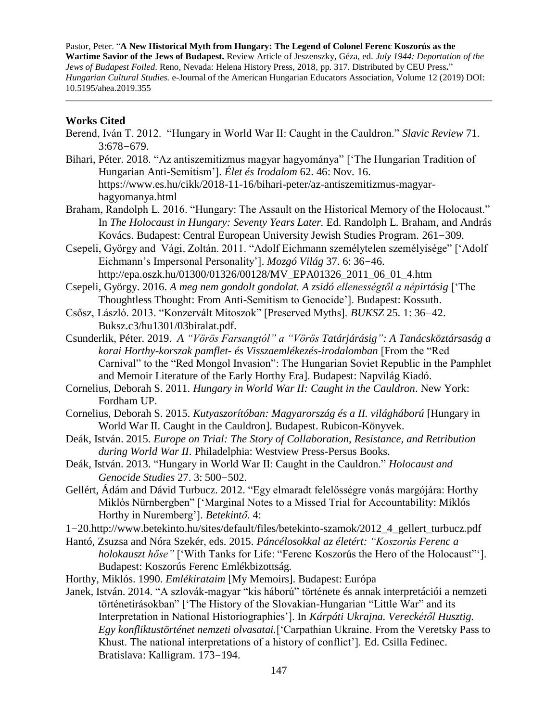## **Works Cited**

- Berend, Iván T. 2012. "Hungary in World War II: Caught in the Cauldron." *Slavic Review* 71. 3:678−679.
- Bihari, Péter. 2018. "Az antiszemitizmus magyar hagyománya" ['The Hungarian Tradition of Hungarian Anti-Semitism']. *Élet és Irodalom* 62. 46: Nov. 16. https://www.es.hu/cikk/2018-11-16/bihari-peter/az-antiszemitizmus-magyarhagyomanya.html
- Braham, Randolph L. 2016. "Hungary: The Assault on the Historical Memory of the Holocaust." In *The Holocaust in Hungary: Seventy Years Later.* Ed. Randolph L. Braham, and András Kovács. Budapest: Central European University Jewish Studies Program. 261−309.
- Csepeli, György and Vági, Zoltán. 2011. "Adolf Eichmann személytelen személyisége" ['Adolf Eichmann's Impersonal Personality']. *Mozgó Világ* 37. 6: 36−46. http://epa.oszk.hu/01300/01326/00128/MV\_EPA01326\_2011\_06\_01\_4.htm
- Csepeli, György. 2016. *A meg nem gondolt gondolat. A zsidó ellenességtől a népirtásig* ['The Thoughtless Thought: From Anti-Semitism to Genocide']. Budapest: Kossuth.
- Csősz, László. 2013. "Konzervált Mitoszok" [Preserved Myths]. *BUKSZ* 25. 1: 36−42. Buksz.c3/hu1301/03biralat.pdf.
- Csunderlik, Péter. 2019. *A "Vörös Farsangtól" a "Vörös Tatárjárásig": A Tanácsköztársaság a korai Horthy-korszak pamflet- és Visszaemlékezés-irodalomban* [From the "Red Carnival" to the "Red Mongol Invasion": The Hungarian Soviet Republic in the Pamphlet and Memoir Literature of the Early Horthy Era]. Budapest: Napvilág Kiadó.
- Cornelius, Deborah S. 2011. *Hungary in World War II: Caught in the Cauldron*. New York: Fordham UP.
- Cornelius, Deborah S. 2015. *Kutyaszorítóban: Magyarország és a II. világháború* [Hungary in World War II. Caught in the Cauldron]. Budapest. Rubicon-Könyvek.
- Deák, István. 2015. *Europe on Trial: The Story of Collaboration, Resistance, and Retribution during World War II*. Philadelphia: Westview Press-Persus Books.
- Deák, István. 2013. "Hungary in World War II: Caught in the Cauldron." *Holocaust and Genocide Studies* 27. 3: 500−502.
- Gellért, Ádám and Dávid Turbucz. 2012. "Egy elmaradt felelősségre vonás margójára: Horthy Miklós Nürnbergben" ['Marginal Notes to a Missed Trial for Accountability: Miklós Horthy in Nuremberg']. *Betekintő*. 4:
- 1−20.http://www.betekinto.hu/sites/default/files/betekinto-szamok/2012\_4\_gellert\_turbucz.pdf
- Hantó, Zsuzsa and Nóra Szekér, eds. 2015. *Páncélosokkal az életért: "Koszorús Ferenc a holokauszt hőse"* ['With Tanks for Life: "Ferenc Koszorús the Hero of the Holocaust"']. Budapest: Koszorús Ferenc Emlékbizottság.
- Horthy, Miklós. 1990. *Emlékirataim* [My Memoirs]. Budapest: Európa
- Janek, István. 2014. "A szlovák-magyar "kis háború" története és annak interpretációi a nemzeti történetirásokban" ['The History of the Slovakian-Hungarian "Little War" and its Interpretation in National Historiographies']. In *Kárpáti Ukrajna. Vereckétől Husztig. Egy konfliktustörténet nemzeti olvasatai.*['Carpathian Ukraine. From the Veretsky Pass to Khust. The national interpretations of a history of conflict']. Ed. Csilla Fedinec. Bratislava: Kalligram. 173−194.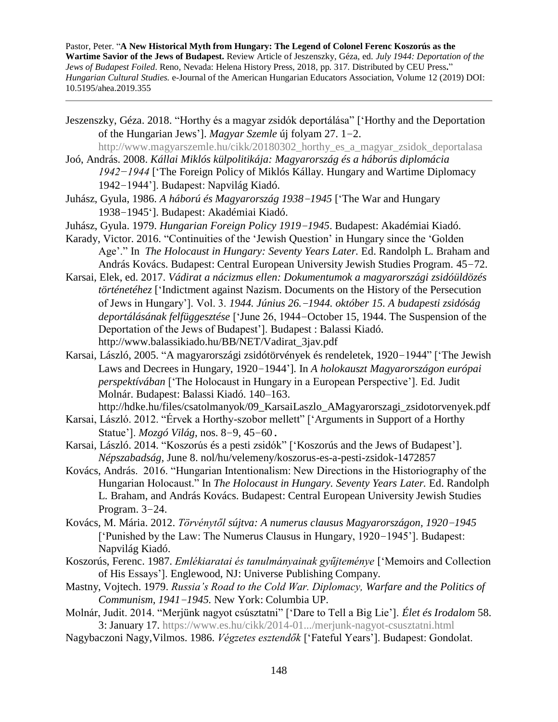- Jeszenszky, Géza. 2018. "Horthy és a magyar zsidók deportálása" ['Horthy and the Deportation of the Hungarian Jews']. *Magyar Szemle* új folyam 27. 1−2.
- [http://www.magyarszemle.hu/cikk/20180302\\_horthy\\_es\\_a\\_magyar\\_zsidok\\_deportalasa](http://www.magyarszemle.hu/cikk/20180302_horthy_es_a_magyar_zsidok_deportalasa) Joó, András. 2008. *Kállai Miklós külpolitikája: Magyarország és a háborús diplomácia* 
	- *1942−1944* ['The Foreign Policy of Miklós Kállay. Hungary and Wartime Diplomacy 1942−1944']. Budapest: Napvilág Kiadó.
- Juhász, Gyula, 1986. *A háború és Magyarország 1938−1945* ['The War and Hungary 1938−1945']. Budapest: Akadémiai Kiadó.
- Juhász, Gyula. 1979. *Hungarian Foreign Policy 1919−1945*. Budapest: Akadémiai Kiadó.
- Karady, Victor. 2016. "Continuities of the 'Jewish Question' in Hungary since the 'Golden Age'." In *The Holocaust in Hungary: Seventy Years Later.* Ed. Randolph L. Braham and András Kovács. Budapest: Central European University Jewish Studies Program. 45−72.
- Karsai, Elek, ed. 2017. *Vádirat a nácizmus ellen: Dokumentumok a magyarországi zsidóüldözés történetéhez* ['Indictment against Nazism. Documents on the History of the Persecution of Jews in Hungary']. Vol. 3. *1944. Június 26.−1944. október 15. A budapesti zsidóság deportálásának felfüggesztése* ['June 26, 1944−October 15, 1944. The Suspension of the Deportation of the Jews of Budapest']. Budapest : Balassi Kiadó. http://www.balassikiado.hu/BB/NET/Vadirat\_3jav.pdf
- Karsai, László, 2005. "A magyarországi zsidótörvények és rendeletek, 1920−1944" ['The Jewish Laws and Decrees in Hungary, 1920−1944']*.* In *A holokauszt Magyarországon európai perspektívában* ['The Holocaust in Hungary in a European Perspective']. Ed. Judit Molnár. Budapest: Balassi Kiadó. 140–163.

http://hdke.hu/files/csatolmanyok/09\_KarsaiLaszlo\_AMagyarorszagi\_zsidotorvenyek.pdf

- Karsai, László. 2012. "Érvek a Horthy-szobor mellett" ['Arguments in Support of a Horthy Statue']. *Mozgó Világ*, nos. 8−9, 45−60.
- Karsai, László. 2014. "Koszorús és a pesti zsidók" ['Koszorús and the Jews of Budapest']. *Népszabadság,* June 8. nol/hu/velemeny/koszorus-es-a-pesti-zsidok-1472857
- Kovács, András. 2016. "Hungarian Intentionalism: New Directions in the Historiography of the Hungarian Holocaust." In *The Holocaust in Hungary. Seventy Years Later.* Ed. Randolph L. Braham, and András Kovács. Budapest: Central European University Jewish Studies Program. 3−24.
- Kovács, M. Mária. 2012. *Törvénytől sújtva: A numerus clausus Magyarországon, 1920−1945* ['Punished by the Law: The Numerus Clausus in Hungary, 1920−1945']. Budapest: Napvilág Kiadó.
- Koszorús, Ferenc. 1987. *Emlékiaratai és tanulmányainak gyűjteménye* ['Memoirs and Collection of His Essays']. Englewood, NJ: Universe Publishing Company.
- Mastny, Vojtech. 1979. *Russia's Road to the Cold War. Diplomacy, Warfare and the Politics of Communism, 1941−1945.* New York: Columbia UP.
- Molnár, Judit. 2014. "Merjünk nagyot csúsztatni" ['Dare to Tell a Big Lie']. *Élet és Irodalom* 58. 3: January 17.<https://www.es.hu/cikk/2014-01.../merjunk-nagyot-csusztatni.html>
- Nagybaczoni Nagy,Vilmos. 1986. *Végzetes esztendők* ['Fateful Years']. Budapest: Gondolat.